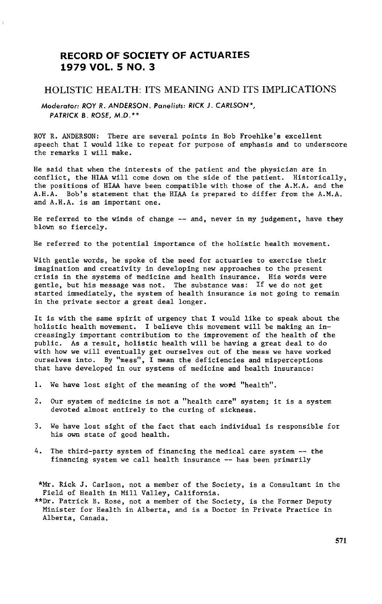# **RECORD OF SOCIETY OF ACTUARIES 1979 VOL. 5 NO**. **3**

# HOLISTIC HEALTH: ITS MEANING AND ITS IMPLICATIONS

M**o**d**e**r**a**t**o**r: ROY R**.** ANDERSON. Pan**e**lists: RICK J. CARLSON**\***, PATRICK B**.** R**OS**E, M**.**D**.**\*\*

ROY R. ANDERSON: There are sev**e**ral points in Bob Froehlke's **e**xcellent speech that I would like to repeat for purpose of emphasis and to underscore the remarks I will make.

He said that when the interests of the patient and the physician are in conflict, the HIAA will come down on the side of the patient. Historically, the positions of HIAA have been compatible with those of the A.M.A. and the A.H.A. Bob's statement that the HIAA is prepared to differ from the A.M.A. and A.H.A. is an important one.

He referred to the winds of change -- and, never in my judgement, have they blown so fiercely.

He referred to the potential importance of the holistic health movement.

With gentle words, he spoke of the need for actuaries to exercise their imagination and creativity in developing new approaches to the present crisis in the systems of medicine and health insurance. His words were gentle, but his message was not. The substance was: If we do not get started immediately, the system of health insurance is not going to remain in the private sector a great deal longer.

It is with the same spirit of urgency that I would like to speak about the holistic health movement. I believe this movement will be making an increasingly important contribution to the improvement of the health of the public. As a result, holistic health will be having a great deal to do with how we will eventually get ourselves out of the mess we have worked ourselves into. By "mess", I mean the deficiencies and misperceptions that have developed in our systems of medicine and health insurance:

- 1. We have lost sight of the meaning of the word "health".
- 2. Our system of medicine is not a "health care" system; it is a system devoted almost entirely to the curing of sickness.
- 3. We have lost sight of the fact that each individual is responsible for his own state of good health.
- 4. The third-party system of financing the medical care system -- the financing system we call health insurance -- has been primarily

\*Mr. Rick J. Carlson, not a member of the Society, is a Consultant in the Field of Health in Mill Valley, California.

\*\*Dr. Patrick B. Rose, not a member of the Society, is the Former Deputy Minister for Health in Alberta, and is a Doctor in Private Practice in Alberta, Canada.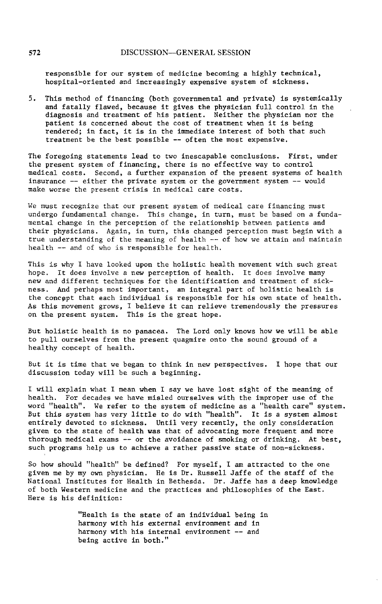responsible f**o**r our system of medicine **b**ecoming a highly technical, hospital-oriented and increasingly expensive system of sickness.

5. This method of financing (both governmental and private) is systemically and fatally flawed, because it gives the physician full control in the diagnosis and treatment of his patient. Neither the physician nor the patient is concerned about the cost of treatment when it is being rendered; in fact, it is in the immediate interest of both that such treatment be the best possible -- often the most expensive.

The foregoing statements lead to two inescapable conclusions. First, under the present system of financing, there is no effective way to control medical costs. Second, a further expansion of the present systems of health insurance -- either the private system or the government system -- would make worse the present crisis in medical care costs.

We must recognize that our present system of medical care financing must undergo fundamental change. This change, in turn, must be based on a fundamental change in the perception of the relationship between patients and their physicians. Again, in turn, this changed perception must begin with a true understanding of the meaning of health -- of how we attain and maintain health -- and of who is responsible for health.

This is why I have looked upon the holistic health movement with such great hope. It does involve a new perception of health. It does involve many new and different techniques for the identification and treatment of sickness. And perhaps most important, an integral part of holistic health is the concept that each individual is responsible for his own state of health. As this movement grows, I believe it can relieve tremendously the pressures on the present system. This is the great hope.

But holistic health is no panacea. The Lord only knows how we will be able to pull ourselves from the present quagmire onto the sound ground of a healthy concept of health.

But it is time that we began to think in new perspectives. I hope that our discussion today will be such a beginning.

I will explain what I mean when I say we have lost sight of the meaning of health. For decades we have misled ourselves with the improper use of the word "health". We refer to the system of medicine as a "health care" system. But this system has very little to do with "health". It is a system almost entirely devoted to sickness. Until very recently, the only considerati given to the state of health was that of advocating more frequent and more thorough medical exams -- or the avoidance of smoking or drinking. At best, such programs help us to achieve a rather passive state of non-slckness.

So how should "health" be defined? For myself, I am attracted to the one given me by my own physician. He is Dr. Russell Jaffe of the staff of the National Institutes for Health in Bethesda. Dr. Jaffe has a deep knowledge of both Western medicine and the practices and philosophies of the East. Here is his definition:

> "Health is the state of an individual being in harmony with his external environment and in harmony with his internal environment -- and being active in both."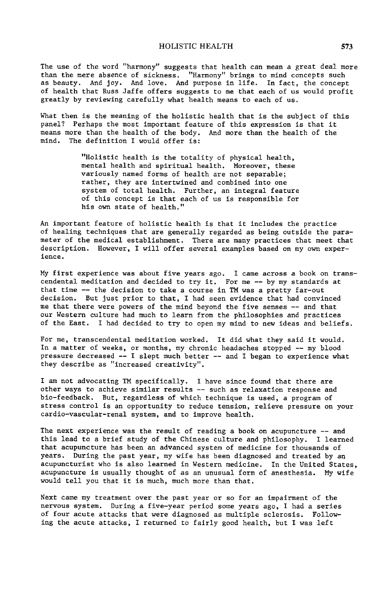The use of the word "harmony" suggests that health can mean a great deal more than the mere absence of sickness. "Harmony" brings to mind concepts such as beauty. And Joy. And love. And purpose in life. In fact, the concept of health that Russ Jaffe offers suggests to me that each of us would profit greatly by reviewing carefully what health means to each of us.

What then is the meaning of the holistic health that is the subject of this panel? Perhaps the most important feature of this expression is that it means more than the health of the body. And more than the health of the mind. The definition I would offer is:

> "Holistic health is the totality of physical health, mental health and spiritual health. Moreover, these variously named forms of health are not separable; rather, they are intertwined and combined into one system of total health. Further, an integral feature of this concept is that each of us is responsible for his own state of health."

An important feature of holistic health is that it includes the practice of healing techniques that are generally regarded as being outside the parameter of the medical establishment. There are many practices that meet that description. However, I will offer several examples based on my own experience.

My first experience was about five years ago. I came across a book on transcendental meditation and decided to try it. For me -- by my standards at that time -- the decision to take a course in TM was a pretty far-out decision. But just prior to that, I had seen evidence that had convinced me that there were powers of the mind beyond the five senses -- and that our Western culture had much to learn from the philosophies and practices of the East. I had decided to try to open my mind to new ideas and beliefs.

For me, transcendental meditation worked. It did what they said it would. In a matter of weeks, or months, my chronic headaches stopped -- my blood pressure decreased -- I slept much better -- and I began to experience what they describe as "increased creativity".

I am not advocating TM specifically. I have since found that there are other ways to achieve similar results -- such as relaxation response and bio-feedback. But, regardless of which technique is used, a program of stress control is an opportunity to reduce tension, relieve pressure on your cardio-vascular-renal system, and to improve health.

The next experience was the result of reading a book on acupuncture -- and this lead to a brief study of the Chinese culture and philosophy. I learned that acupuncture has been an advanced system of medicine for thousands of years. During the past year, my wife has been diagnosed and treated by an acupuncturist who is also learned in Western medicine. In the United States, acupuncture is usually thought of as an unusual form of anesthesia. My wife would tell you that it is much, much more than that.

Next came my treatment over the past year or so for an impairment of the nervous system. During a five-year period some years ago, I had a series of four acute attacks that were diagnosed as multiple sclerosis. Following the acute attacks, I returned to fairly good health, but I was left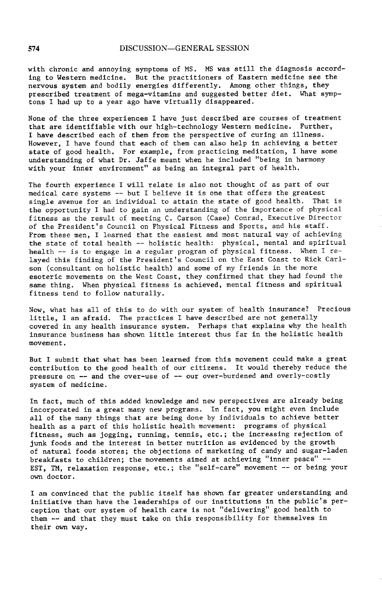with chronic and annoying symptoms of MS. MS was still the diagnosis according to Western medicine. But the practitioners of Eastern medicine see the nervous system and bodily energies differently. Among other things, they prescribed treatment of mega-vitamins and suggested better diet. What symptons I had up to a year ago have virtually disappeared.

None of the three experiences I have just described are courses of treatment that are identifiable with our high-technology Western medicine. Further, I have described each of them from the perspective of curing an illness. However, I have found that each of them can also help in achieving a better state of good health. For example, from practicing meditation, I have some understanding of what Dr. Jaffe meant when he included "being in harmony with your inner environment" as being an integral part of health.

The fourth experience I will relate is also not thought of as part of our medical care systems -- but I believe it is one that offers the greatest single avenue for an individual to attain the state of good health. That is the opportunity I had to gain an understanding of the importance of physical fitness as the result of meeting C. Carson (Case) Conrad, Executive Director of the President's Council on Physical Fitness and Sports, and his staff. From these men, I learned that the easiest and most natural way of achieving the state of total health -- holistic health: physical, mental and spiritual health -- is to engage in a regular program of physical fitness. When I relayed this finding of the President's Council on the East Coast to Rick Carlson (consultant on holistic health) and some of my friends in the more esoteric movements on the West Coast, they confirmed that they had found the same thing. When physical fitness is achieved, mental fitness and spiritual fitness tend to follow naturally.

Now, what has all of this to do with our system of health insurance? Precious little, I am afraid. The practices I have described are not generally covered in any health insurance system. Perhaps that explains why the health insurance business has shown little interest thus far in the holistic health movement.

But I submit that what has been learned from this movement could make a great contribution to the good health of our citizens. It would thereby reduce the pressure on -- and the over-use of -- our over-burdened and overly-costly system of medicine.

In fact, much of this added knowledge and new perspectives are already being incorporated in a great many new programs. In fact, you might even include all of the many things that are being done by individuals to achieve better health as a part of this holistic health movement: programs of physical fitness, such as jogging, running, tennis, etc.; the increasing rejection of junk foods and the interest in better nutrition as evidenced by the growth of natural foods stores; the objections of marketing of candy and sugar-laden breakfasts to children; the movements aimed at achieving "inner peace" -- EST, TM, relaxation response, etc.; the "self-care" movement -- or being your own doctor.

I am convinced that the public itself has shown far greater understanding and initiative than have the leaderships of our institutions in the public's perception that our system of health care is not "delivering" good health to them -- and that they must take on this responsibility for themselves in their own way.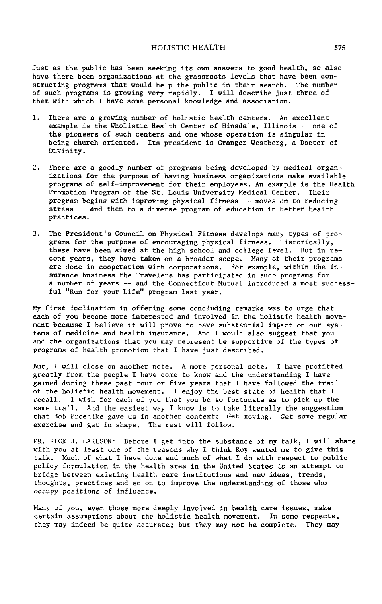## HOLISTIC HEALTH 575

Just as the public has been seeking its own answers to good health, so also have there been organizations at the grassroots levels that have been constructing programs that would help the public in their search. The number of such programs is growing very rapidly. I will describe just three of them with which I have some personal knowledge and association.

- i. There are a growing number of holistic health centers. An excellent example is the Wholistic Health Center of Hinsdale, Illinois -- one of the pioneers of such centers and one whose operation is singular in being church-oriented. Its president is Granger Westberg, a Doctor of Divinity.
- 2. There are a goodly number of programs being developed by medical organizations for the purpose of having business organizations make available programs of self-improvement for their employees. An example is the Health Promotion Program of the St. Louis University Medical Center. Their pr**o**gram begins with improving physical fitness -- moves **o**n to reducing stress -- and then to a diverse program of education in better health practices.
- 3. The President's Council on Physical Fitness develops many types of programs for the purpose of encouraging physical fitness. Historically, these have been aimed at the high school and college level. But in recent years, they have taken on a broader scope. Many of their programs are done in cooperation with c**o**rp**o**rations. For example, within the insurance business the Travelers has participated in such programs for a number of years -- and the Connecticut Mutual introduced a most successful "Run for your Life" program last year.

My first inclination in **o**ffering s**o**me c**o**ncluding remarks was t**o** urge that each of you become more interested and involved in the hollstic health movement because I believe it will prove to have substantial impact on our systems of medicine and health insurance. And I would also suggest that you and the organizations that you may represent be supportive of the types of programs of health promotion that I have just described.

But, I will close on another note. A more personal note. I have profitted greatly from the people I have come to know and the understanding I have gained during these past four or five years that I have followed the trail of the holistic health movement. I enjoy the best state of health that I recall. I wish for each of you that you be so fortunate as to pick up the same trail. And the easiest way I know is to take literally the suggestion that Bob Froehlke gave us in another context: Get moving. Get some regular exercise and get in shape. The rest will follow.

MR. RICK J. CARLSON: Before I get into the substance of my talk, I will share with you at least one of the reasons why I think Roy wanted me to give this talk. Much of what I have done and much of what I do with respect to public policy formulation in the health area in the United States is an attempt to bridge between existing health care institutions and new ideas, trends, thoughts, practices and so on to improve the understanding of those who occupy positions of influence.

Many of you, even those more deeply involved in health care issues, make certain assumptions about the holistic health movement. In some respects, they may indeed be quite accurate; but they may not be complete. They may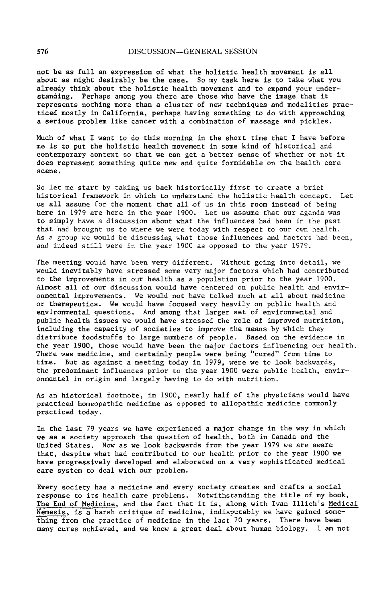not be as full an expression of what the holistic health movement is all about as might desirably be the case. So my task here is to take what you already think about the holistic health movement and to expand your understanding. Perhaps among you there are those who have the image that it represents nothing more than a cluster of new techniques and modalities practiced mostly in California, perhaps having something to do with approaching a serious problem llke cancer with a combination of massage and pickles.

Much of what I want to do this morning in the short time that I have before me is to put the holistlc health movement in some kind of historical and contemporary context so that we can get a better sense of whether or not it does represent something quite new and quite formidable on the health care scene.

So let me start by taking us back historically first to create a brief historical framework in which to understand the holistic health concept. Let us all assume for the moment that all.of us in this room instead of being here in 1979 are here in the year 1900. Let us assume that our agenda was to simply have a discussion about what the influences had been in the past that had brought us to where we were today with respect to our own health. As a group we would be discussing what those influences and factors had been, and indeed still were in the year 1900 as opposed to the year 1979.

The meeting would have been very different. Without going into detail, we would inevitably have stressed some very major factors which had contributed to the improvements in our health as a population prior to the year 1900. Almost all of our discussion would have centered on public health and environmental improvements. We would not have talked much at all about medicine or therapeutics. We would have focused very heavily on public health and environmental questions. And among that larger set of environmental and public health issues we would have stressed the role of improved nutrition, including the capacity of societies to improve the means by which they distribute foodstuffs to large numbers of people. Based on the evidence in the year 1900, those would have been the major factors influencing our health. There was medicine, and certainly people were being "cured" from time to time. But as against a meeting today in 1979, were we to look backwards, the predominant influences prior to the year 1900 were public health, environmental in origin and largely having to do with nutrition.

As an historical footnote, in 1900, nearly half of the physicians would have practiced homeopathic medicine as opposed to allopathic medicine commonly practiced today.

In the last 79 years we have experienced a major change in the way in which we as a society approach the question of health, both in Canada and the United States. Now as we look backwards from the year 1979 we are aware that, despite what had contributed to our health prior to the year 1900 we have progressively developed and elaborated on a very sophisticated medical care system to deal with our problem.

Every society has a medicine and every society creates and crafts a social response to its health care problems. Notwithstanding the title of my book**, The End of Medicine,** and the fact that it is, along with Ivan Illich's Medical Nemesis, is a harsh critique of medicine, indisputably we have gained something from the practice of medicine in the last 70 years. There have been many cures achieved, and we know a great deal about human biology. I am not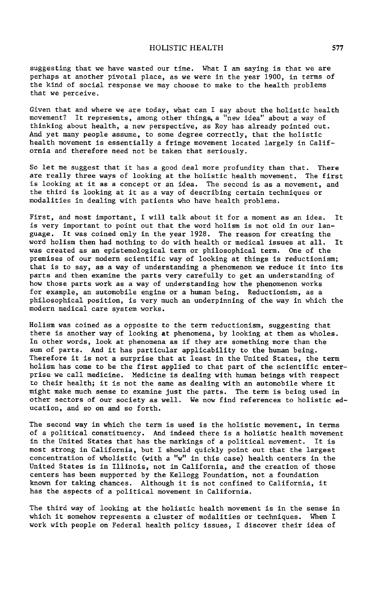suggesting that we have wasted **o**ur time. What I am saying is that we are perhaps at another pivotal place, as we were in the year 1900, in terms of the kind of social response we may choose to make to the health problems that we perceive.

Given that and where we are today, what can I say about the holistic health movement? It represents, among other things, a "new idea" about a way of thinking about health, a new perspective, as Roy has already pointed out. And yet many people assume, to some degree correctly, that the holistic health movement is essentially a fringe movement located largely in California and therefore need not be taken that seriously.

So let me suggest that it has a good deal more profundity than that. There are really three ways of looking at the holistic health movement. The first is looking at it as a concept or an idea. The second is as a movement, and the third is looking at it as a way of describing certain techniques or modalities in dealing with patients who have health problems.

First, and most important, I will talk about it for a moment as an idea. It is very important to point out that the word holism is not old in our language. It was coined only in the year 1928. The reason for creating the word holism then had nothing to do with health or medical issues at all. It was created as an epistemological term or philosophical term. One of the premises of our modern scientific way of looking at things is reductionism; that is to say, as a way of understanding a phenomenon we reduce it into its parts and then examine the parts very carefully to get an understanding of how those parts work as a way of understanding how the phenomenon works for example, an automobile engine or a human being. Reductionism, as a philosophical position, is very much an underpinning of the way in which the modern medical care system works.

Holism was coined as a opposite to the term reductionism, suggesting that there is another way of looking at phenomena, by looking at them as wholes. In other words, look at phenomena as if they are something more than the sum of parts. And it has particular applicability to the human being. Therefore it is not a surprise that at least in the United States, the term holism has come to be the first applied to that part of the scientific enterprise we call medicine. Medicine is dealing with human beings with respect to their health; it is not the same as dealing with an automobile where it might make much sense to examine just the parts. The term is being used in other sectors of our society as well. We now find references to holistic education, and so on and so forth.

The second way in which the term is used is the holistic movement, in terms of a political constituency. And indeed there is a holistic health movement in the United States that has the markings of a political movement. It is most strong in California, but I should quickly point out that the largest concentration of wholistic (with a "w" in this case) health centers in the United States is in Illinois, not in California, and the creation of those centers has been supported by the Kellogg Foundation, not a foundation known for taking chances. Although it is not confined to California, it has the aspects of a political movement in California.

The third way of looking at the holistie health movement is in the sense in which it somehow represents a cluster of modalities or techniques. When I work with people on Federal health policy issues, I discover their idea of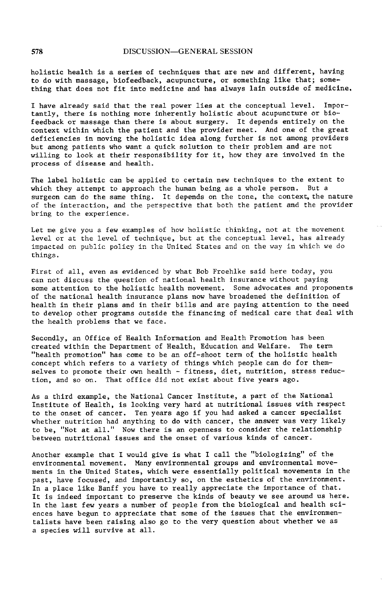holistie health is a series of techni**q**ues that are new and different, having to do with massage, biofeedback, acupuncture, or something like that; something that does not fit into medicine and has always laln outside of medicine,

I have already said that the real power lies at the conceptual level. Importantly, there is nothing more inherently holistic about acupuncture or biofeedback or massage than there is about surgery. It depends entirely on the context within which the patient and the provider meet. And one of the great deficiencies in moving the holistic idea along further is not among providers but among patients who want a quick solution to their problem and are not willing to look at their responsibility for it, how they are involved in the process of disease and health.

The label holistic can be applied to certain new techniques to the extent to which they attempt to approach the human being as a whole person. But a surgeon can do the same thing. It depends on the tone, the context, the nature of the interaction, and the perspective that both the patient and the provider bring to the experience.

Let me give you a few examples of how holistic thinking, not at the movement level or at the level of technique, but at the conceptual level, has already impacted on public policy in the United States and on the way in which we do things.

First of all, even as evidenced by what Bob Proehlke said here today, you can not discuss the question of national health insurance without paying some attention to the holistic health movement. Some advocates and proponents of the national health insurance plans now have broadened the definition of health in their plans and in their bills and are paying attention to the need to develop other programs outside the financing of medical care that deal with the health problems that we face.

Secondly, an Office of Health Information and Health Promotion has been created within the Department of Health, Education and Welfare. The term "health promotion" has come to be an off-shoot term of the holistic health concept which refers to a variety of things which people can do for themselves to promote their own health - fitness, diet, nutrition, stress reduction, and so on. That office did not exist about five years ago.

As a third example, the National Cancer Institute, a part of the National Institute of Health, is looking very hard at nutritional issues with respect to the onset of cancer. Ten years ago if you had asked a cancer specialist whether nutrition had anything to do with cancer, the answer was very likely to be, "Not at all." Now there is an openness to consider the relationship between nutritional issues and the onset of various kinds of cancer.

Another example that I would give is what I call the "biologizing" of the environmental movement. Many environmental groups and environmental movements in the United States, which were essentially political movements in the past, have focused, and importantly so, on the esthetics of the environment. In a place like Banff you have to really appreciate the importance of that. It is indeed important to preserve the kinds of beauty we see around us here. In the last few years a number of people from the biological and health sciences have begun to appreciate that some of the issues that the environmentalists have been raising also go to the very question about whether we as a species will survive at all.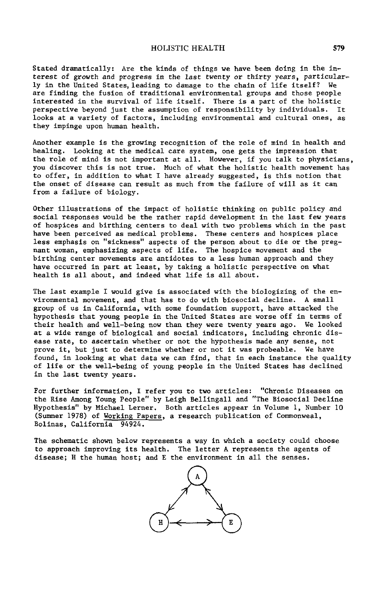### HOLIST**I**C HEALTH 5**7**9

Stated dramatically: Are the kinds of things we have been doing in the interest of growth and progress in the last twenty or thirty years, particularly in the United States, leading to damage to the chain of life itself? We are finding the fusion of traditional environmental groups and those people interested in the survival of life itself**.** There is a part of the holistic perspective beyond just the assumption of responsibility by individuals. looks at a variety of factors, including environmental and cultural ones, as they impinge upon human health.

Another example is the growing recognition of the role of mind in health and healing. Looking at the medical care system, one gets the impression that the role of mind is not important at all. However, if **y**ou talk to physicians, you discover this is not true. Much of what the holistic health movement has to offer, in addition to what I have already suggested, is this notion that the onset of disease can result as much from the failure of will as it can from a failure of biology.

Other illustrations of the impact of holistic thinking on public policy and social responses would be the rather rapid development in the last few years of hospices and birthing centers to deal with two problems which in the past have been perceived as medical problems. These centers and hospices place less emphasis on "sickness" aspects of the person about to die or the pregnant woman, emphasizing aspects of life. The hospice movement and the birthing center movements are antidotes to a less human approach and they have occurred in part at least, by taking a holistic perspective on what health is all about, and indeed what life is all about**.**

The last example I would give is associated with the biologizing of the environmental movement, and that has to do with biosocial decline. A small group of us in California, with some foundation support, have attacked the hypothesis that young people in the United States are worse off in terms of their health and well-being now than they were twenty years ago. We looked at a wide range of biological and social indicators, including chronic disease rate, to ascertain whether or not the hypothesis made any sense, not prove it, but just to determine whether or not it was probeable. We have found, in looking at what data we can find, that in each instance the quality of life or the well-being of young people in the United States has declined in the last twenty years.

For further information, I refer you to two articles: "Chronic Diseases on the Rise Among Young People" by Lelgh Belllngall and "The Biosocial Decline Hypothesis" by Michael Lerner. Both articles appear in Volume I, Number i0 (Summer 1978) of Working Papers, a research publication of Commonweal, Bolinas, California 94924.

The schematic shown below represents a way in which a society could choose to approach improving its health. The letter A represents the agents of disease; H the human host; and E the environment in all the senses.

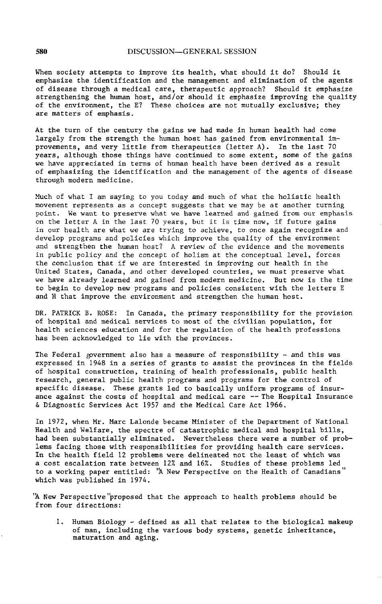When society attempts to improve its health, what should it do? Should it emphasize the identification and the management and elimination of the agents of disease through a medical care, therapeutic approach? Should it emphasize strengthening the human host, and/or should it emphasize improving the quality of the environment, the E? These choices are not mutually exclusive; they are matters of emphasis.

At the turn of the century the gains we had made in human health had come largely from the strength the human host has gained from environmental improvements, and very little from therapeutics (letter A). In the last 70 years, although those things have continued to some extent, some of the gains we have appreciated in terms of human health have been derived as a result of emphasizing the identification and the management of the agents of disease through modern medicine.

Much of what I am saying to you today and much of what the holistic health movement represents as a concept suggests that we may be at another turning point. We want to preserve wh**a**t we have learned and gained from our emphasis on the letter A in the last 70 years, but it is time now, if future gains in our health are what we are trying to achieve, to once again recognize and develop programs and policies which improve the quality of the environment and strengthen the human host? A review of the evidence and the movements in public policy and the concept of holism at the conceptual level, forces the conclusion that if we are interested in improving our health in the United States, Canada, and other developed countries, we must preserve what we have already learned and gained from modern medicine. But now is the time to begin to develop new programs and policies consistent with the letters E and H that improve the environment and strengthen the human host.

DR. PATRICK B. ROSE: In Canada, the primary responsibility for the provision of hospital and medical services to most of the civili**a**n population, for health sciences education and for the regulation of the health professions has been acknowledged to lie with the provinces.

The Federal government also has a measure of responsibility - and this was expressed in 1948 in a series of grants to assist the provinces in the fields of hospital construction, training of health professionals, public health research, general public health programs and programs for the control of specific disease. These grants led to basically uniform programs of insurance against the costs of hospital and medical care -- The Hospital Insurance & Diagnostic Services Act 1957 and the Medical Care Act 1966.

In 1972, when Mr. Marc Lalonde became Minister of the Department of National Health and Welfare, the spectre of catastrophic medical and hospital bills, had been substantially eliminated. Nevertheless there were a number of problems facing those with res**p**onsibilities for providing health care services. In the health field 12 **p**rohlems were deline**a**ted not the least of which was a cost escalation rate between 12% and 16%. Studies of these problems led to a working paper entitled: "A New Perspective on the Health of Canadians" which was published in 1974.

'A New Perspective'proposed that the approach to health problems should be from four directions:

i. H**u**man Biology - defined as all that relates to the biological ma**k**eup of man, including the vario**u**s body systems, genetic inheritance, maturation and aging.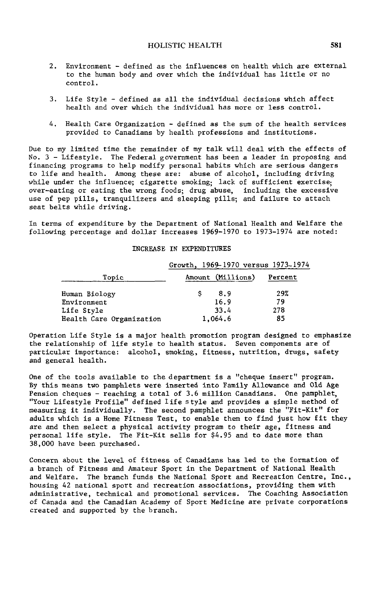- 2. Environment defined as the influences on health which are external to the human body and over which the individual has little or no control.
- 3. Life Style defined as all the individual decisions which affect health and over which the individual has more or less control.
- 4. Health Care Organization defined as the sum of the health services provided to Canadians by health professions and institutions.

Due to my limited time the remainder of my talk will deal with the effects of No. 3 - Lifestyle. The Federal government has been a leader in proposing and financing programs to help modify personal habits which are serious dangers to life and health. Among these are: abuse of alcohol, including driving while under the influence; cigarette smoking; lack of sufficient exercise; over-eating or eating the wrong foods; drug abuse, including the excessive use of pep pills, tranquilizers and sleeping pills; and failure to attach seat belts while driving.

In terms of expenditure by the Department of National Health and Welfare the following percentage and dollar increases 1969-1970 to 1973-1974 are noted:

#### INCREASE IN EXPENDITURES

|                          | Growth, 1969-1970 versus 1973-197 |         |  |
|--------------------------|-----------------------------------|---------|--|
| Topic                    | Amount (Millions)                 | Percent |  |
| Human Biology            | 8.9                               | 29%     |  |
| Environment              | 16.9                              | 79      |  |
| Life Style               | 33.4                              | 278     |  |
| Health Care Organization | 1,064.6                           | 85      |  |

Operation Life Style is a major health promotion program designed to emphasize the relationship of life style to health status. Seven components are of particular importance: alcohol, smoking, fitness, nutrition, drugs, safety and general health.

One of the tools available to the department is a "cheque insert" program. By this means two pamphlets were inserted into Family Allowance and Old Age Pension cheques - reaching a total of 3.6 million Canadians. One pamphlet, "Your Lifestyle Profile" defined life style and provides a simp**l**e method of measuring it individually. The second pamphlet announces the "Fit-Kit" for adults which is a Home Fitness Test, to enable them to find just how fit they are and then select a physical activity program to their age, fitness and personal life style. The Fit-Kit sells for \$4.95 and to date more than 38,000 have been purchased.

Concern about the level of fitness of Canadians has led to the formation of a branch of Fitness and Amateur Sport in the Department of National Health and Welfare. The branch funds the National Sport and Recreation Centre, Inc., housing 42 national sport and recreation associations, providing them with administrative, technical and promotional services. The Coaching Association of Canada and the Canadian Academy of Sport Medicine are private corporations created and supported by the branch.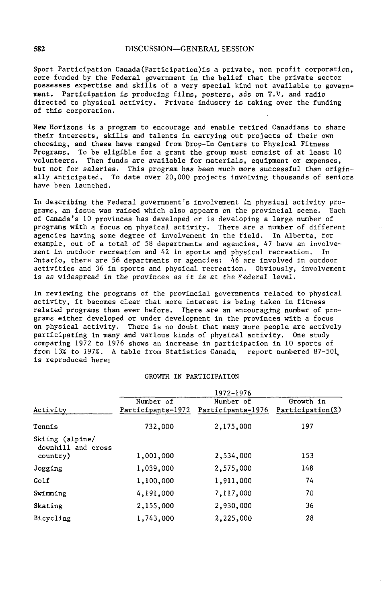Sport Participation Canada(Participation)is a private, non pr**o**fit corporatlon\_ core funded by the Federal government in the belief that the private sector possesses expertise and skills of a very special kind not available to government. Par**t**icipation is producing films, posters, ads on T.V. and radio directed to physical activity. Private industry is taking over the funding of this corporation.

New Horizons is a program to encourage and enable retired Canadians to share their interests, skills and talents in carrying out projects of their own choosing, and these have ranged from Drop-In Centers to Physical Fitness Programs. To be eligible for a grant the group must consist of at least i0 volunteers. Then funds are available for materials, equipment or expenses, but not for salaries. This program has been much more successful than originally anticipated. To date over 20,000 projects involving thousands of seniors have been launched.

In describing the Federal government's involvement in physical activity programs, an issue was raised which also appears on the provincial scene. Each of Canada's i0 provinces has developed or is developing a large number of programs with a focus on physical activity. There are a number of different agencies having some degree of involvement in the field. In Alberta, for example, out of a total of 58 departments and agencies, 47 have an involvement in outdoor recreation and 42 in sports and physical recreation. In Ontario, there are 56 departments or agencies: 46 are involved in outdoor activities and 36 in sports and physical recreation. Obviously, involvement is as widespread in the provinces as it is at the Federal level.

In reviewing the programs of the provincial governments related to physical activity, it becomes clear that more interest is being taken in fitness related programs than ever before. There are an encouraging number of programs either developed or under development in the provinces with a focus on physical activity. There is no doubt that many more people are actively participating in many and various kinds of physical activity. One study comparing 1972 to 1976 shows an increase in participation in I0 sports of from 13% to 197%. A table from Statistics Canada, report numbered 87-501 is reproduced here:

#### GROWTH IN PARTICIPATION

|                                                   | 1972-1976                      |                                |                               |  |
|---------------------------------------------------|--------------------------------|--------------------------------|-------------------------------|--|
| Activity                                          | Number of<br>Participants-1972 | Number of<br>Participants-1976 | Growth in<br>Participation(%) |  |
| Tennis                                            | 732,000                        | 2,175,000                      | 197                           |  |
| Skiing (alpine/<br>downhill and cross<br>country) | 1,001,000                      | 2,534,000                      | 153                           |  |
| Jogging                                           | 1,039,000                      | 2,575,000                      | 148                           |  |
| Golf                                              | 1,100,000                      | 1,911,000                      | 74                            |  |
| Swimming                                          | 4,191,000                      | 7.117.000                      | 70                            |  |
| Skating                                           | 2,155,000                      | 2,930,000                      | 36                            |  |
| Bicycling                                         | 1,743,000                      | 2,225,000                      | 28                            |  |